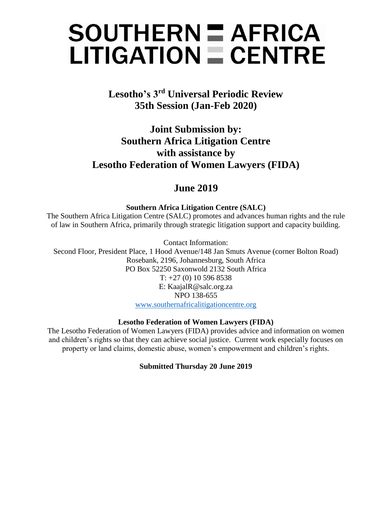# $SOUTHERN = AFRICA$  $LITIGATION = CENTRE$

**Lesotho's 3rd Universal Periodic Review 35th Session (Jan-Feb 2020)**

**Joint Submission by: Southern Africa Litigation Centre with assistance by Lesotho Federation of Women Lawyers (FIDA)**

# **June 2019**

**Southern Africa Litigation Centre (SALC)** 

The Southern Africa Litigation Centre (SALC) promotes and advances human rights and the rule of law in Southern Africa, primarily through strategic litigation support and capacity building.

Contact Information:

Second Floor, President Place, 1 Hood Avenue/148 Jan Smuts Avenue (corner Bolton Road) Rosebank, 2196, Johannesburg, South Africa PO Box 52250 Saxonwold 2132 South Africa  $T: +27(0)105968538$ E: KaajalR@salc.org.za NPO 138-655 [www.southernafricalitigationcentre.org](http://www.southernafricalitigationcentre.org/)

## **Lesotho Federation of Women Lawyers (FIDA)**

The Lesotho Federation of Women Lawyers (FIDA) provides advice and information on women and children's rights so that they can achieve social justice. Current work especially focuses on property or land claims, domestic abuse, women's empowerment and children's rights.

### **Submitted Thursday 20 June 2019**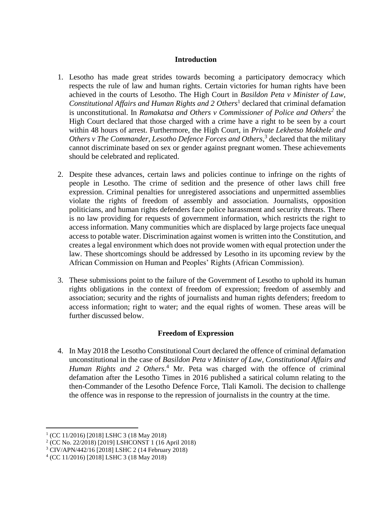#### **Introduction**

- 1. Lesotho has made great strides towards becoming a participatory democracy which respects the rule of law and human rights. Certain victories for human rights have been achieved in the courts of Lesotho. The High Court in *Basildon Peta v Minister of Law, Constitutional Affairs and Human Rights and 2 Others*<sup>1</sup> declared that criminal defamation is unconstitutional. In *Ramakatsa and Others v Commissioner of Police and Others<sup>2</sup>* the High Court declared that those charged with a crime have a right to be seen by a court within 48 hours of arrest. Furthermore, the High Court, in *Private Lekhetso Mokhele and*  Others v The Commander, Lesotho Defence Forces and Others,<sup>3</sup> declared that the military cannot discriminate based on sex or gender against pregnant women. These achievements should be celebrated and replicated.
- 2. Despite these advances, certain laws and policies continue to infringe on the rights of people in Lesotho. The crime of sedition and the presence of other laws chill free expression. Criminal penalties for unregistered associations and unpermitted assemblies violate the rights of freedom of assembly and association. Journalists, opposition politicians, and human rights defenders face police harassment and security threats. There is no law providing for requests of government information, which restricts the right to access information. Many communities which are displaced by large projects face unequal access to potable water. Discrimination against women is written into the Constitution, and creates a legal environment which does not provide women with equal protection under the law. These shortcomings should be addressed by Lesotho in its upcoming review by the African Commission on Human and Peoples' Rights (African Commission).
- 3. These submissions point to the failure of the Government of Lesotho to uphold its human rights obligations in the context of freedom of expression; freedom of assembly and association; security and the rights of journalists and human rights defenders; freedom to access information; right to water; and the equal rights of women. These areas will be further discussed below.

#### **Freedom of Expression**

4. In May 2018 the Lesotho Constitutional Court declared the offence of criminal defamation unconstitutional in the case of *Basildon Peta v Minister of Law, Constitutional Affairs and Human Rights and 2 Others*. <sup>4</sup> Mr. Peta was charged with the offence of criminal defamation after the Lesotho Times in 2016 published a satirical column relating to the then-Commander of the Lesotho Defence Force, Tlali Kamoli. The decision to challenge the offence was in response to the repression of journalists in the country at the time.

<sup>1</sup> (CC 11/2016) [2018] LSHC 3 (18 May 2018)

<sup>2</sup> (CC No. 22/2018) [2019] LSHCONST 1 (16 April 2018)

<sup>3</sup> CIV/APN/442/16 [2018] LSHC 2 (14 February 2018)

<sup>4</sup> (CC 11/2016) [2018] LSHC 3 (18 May 2018)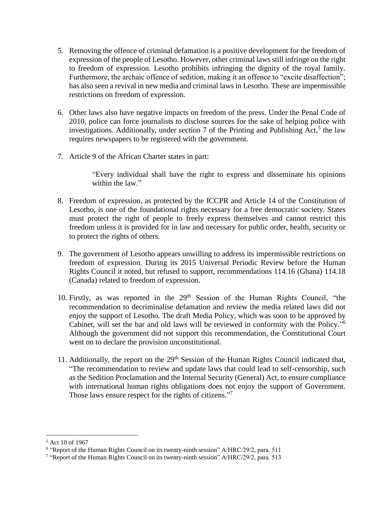- 5. Removing the offence of criminal defamation is a positive development for the freedom of expression of the people of Lesotho. However, other criminal laws still infringe on the right to freedom of expression. Lesotho prohibits infringing the dignity of the royal family. Furthermore, the archaic offence of sedition, making it an offence to "excite disaffection"; has also seen a revival in new media and criminal laws in Lesotho. These are impermissible restrictions on freedom of expression.
- 6. Other laws also have negative impacts on freedom of the press. Under the Penal Code of 2010, police can force journalists to disclose sources for the sake of helping police with investigations. Additionally, under section 7 of the Printing and Publishing  $Act<sub>1</sub>$ <sup>5</sup> the law requires newspapers to be registered with the government.
- 7. Article 9 of the African Charter states in part:

"Every individual shall have the right to express and disseminate his opinions within the law."

- 8. Freedom of expression, as protected by the ICCPR and Article 14 of the Constitution of Lesotho, is one of the foundational rights necessary for a free democratic society. States must protect the right of people to freely express themselves and cannot restrict this freedom unless it is provided for in law and necessary for public order, health, security or to protect the rights of others.
- 9. The government of Lesotho appears unwilling to address its impermissible restrictions on freedom of expression. During its 2015 Universal Periodic Review before the Human Rights Council it noted, but refused to support, recommendations 114.16 (Ghana) 114.18 (Canada) related to freedom of expression.
- 10. Firstly, as was reported in the  $29<sup>th</sup>$  Session of the Human Rights Council, "the recommendation to decriminalise defamation and review the media related laws did not enjoy the support of Lesotho. The draft Media Policy, which was soon to be approved by Cabinet, will set the bar and old laws will be reviewed in conformity with the Policy." 6 Although the government did not support this recommendation, the Constitutional Court went on to declare the provision unconstitutional.
- 11. Additionally, the report on the 29<sup>th</sup> Session of the Human Rights Council indicated that, "The recommendation to review and update laws that could lead to self-censorship, such as the Sedition Proclamation and the Internal Security (General) Act, to ensure compliance with international human rights obligations does not enjoy the support of Government. Those laws ensure respect for the rights of citizens."<sup>7</sup>

<sup>5</sup> Act 10 of 1967

<sup>&</sup>lt;sup>6</sup> "Report of the Human Rights Council on its twenty-ninth session" A/HRC/29/2, para. 511

<sup>&</sup>lt;sup>7</sup> "Report of the Human Rights Council on its twenty-ninth session" A/HRC/29/2, para. 513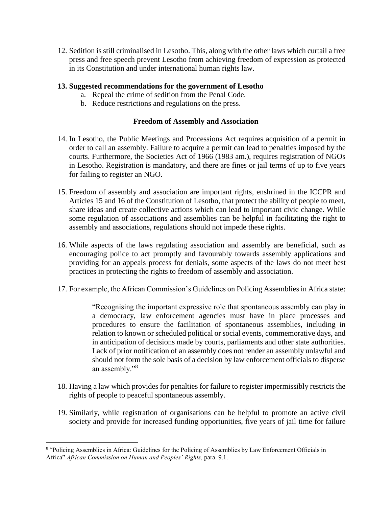12. Sedition is still criminalised in Lesotho. This, along with the other laws which curtail a free press and free speech prevent Lesotho from achieving freedom of expression as protected in its Constitution and under international human rights law.

#### **13. Suggested recommendations for the government of Lesotho**

- a. Repeal the crime of sedition from the Penal Code.
- b. Reduce restrictions and regulations on the press.

#### **Freedom of Assembly and Association**

- 14. In Lesotho, the Public Meetings and Processions Act requires acquisition of a permit in order to call an assembly. Failure to acquire a permit can lead to penalties imposed by the courts. Furthermore, the Societies Act of 1966 (1983 am.), requires registration of NGOs in Lesotho. Registration is mandatory, and there are fines or jail terms of up to five years for failing to register an NGO.
- 15. Freedom of assembly and association are important rights, enshrined in the ICCPR and Articles 15 and 16 of the Constitution of Lesotho, that protect the ability of people to meet, share ideas and create collective actions which can lead to important civic change. While some regulation of associations and assemblies can be helpful in facilitating the right to assembly and associations, regulations should not impede these rights.
- 16. While aspects of the laws regulating association and assembly are beneficial, such as encouraging police to act promptly and favourably towards assembly applications and providing for an appeals process for denials, some aspects of the laws do not meet best practices in protecting the rights to freedom of assembly and association.
- 17. For example, the African Commission's Guidelines on Policing Assemblies in Africa state:

"Recognising the important expressive role that spontaneous assembly can play in a democracy, law enforcement agencies must have in place processes and procedures to ensure the facilitation of spontaneous assemblies, including in relation to known or scheduled political or social events, commemorative days, and in anticipation of decisions made by courts, parliaments and other state authorities. Lack of prior notification of an assembly does not render an assembly unlawful and should not form the sole basis of a decision by law enforcement officials to disperse an assembly."<sup>8</sup>

- 18. Having a law which provides for penalties for failure to register impermissibly restricts the rights of people to peaceful spontaneous assembly.
- 19. Similarly, while registration of organisations can be helpful to promote an active civil society and provide for increased funding opportunities, five years of jail time for failure

<sup>&</sup>lt;sup>8</sup> "Policing Assemblies in Africa: Guidelines for the Policing of Assemblies by Law Enforcement Officials in Africa" *African Commission on Human and Peoples' Rights*, para. 9.1.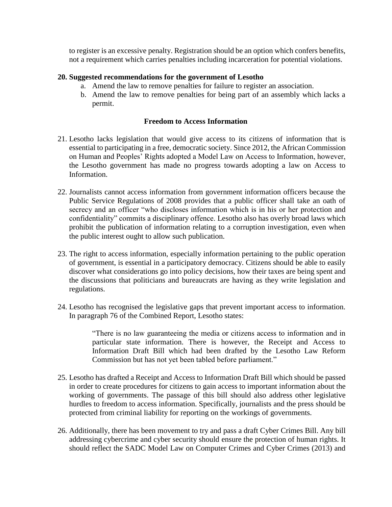to register is an excessive penalty. Registration should be an option which confers benefits, not a requirement which carries penalties including incarceration for potential violations.

#### **20. Suggested recommendations for the government of Lesotho**

- a. Amend the law to remove penalties for failure to register an association.
- b. Amend the law to remove penalties for being part of an assembly which lacks a permit.

#### **Freedom to Access Information**

- 21. Lesotho lacks legislation that would give access to its citizens of information that is essential to participating in a free, democratic society. Since 2012, the African Commission on Human and Peoples' Rights adopted a Model Law on Access to Information, however, the Lesotho government has made no progress towards adopting a law on Access to Information.
- 22. Journalists cannot access information from government information officers because the Public Service Regulations of 2008 provides that a public officer shall take an oath of secrecy and an officer "who discloses information which is in his or her protection and confidentiality" commits a disciplinary offence. Lesotho also has overly broad laws which prohibit the publication of information relating to a corruption investigation, even when the public interest ought to allow such publication.
- 23. The right to access information, especially information pertaining to the public operation of government, is essential in a participatory democracy. Citizens should be able to easily discover what considerations go into policy decisions, how their taxes are being spent and the discussions that politicians and bureaucrats are having as they write legislation and regulations.
- 24. Lesotho has recognised the legislative gaps that prevent important access to information. In paragraph 76 of the Combined Report, Lesotho states:

"There is no law guaranteeing the media or citizens access to information and in particular state information. There is however, the Receipt and Access to Information Draft Bill which had been drafted by the Lesotho Law Reform Commission but has not yet been tabled before parliament."

- 25. Lesotho has drafted a Receipt and Access to Information Draft Bill which should be passed in order to create procedures for citizens to gain access to important information about the working of governments. The passage of this bill should also address other legislative hurdles to freedom to access information. Specifically, journalists and the press should be protected from criminal liability for reporting on the workings of governments.
- 26. Additionally, there has been movement to try and pass a draft Cyber Crimes Bill. Any bill addressing cybercrime and cyber security should ensure the protection of human rights. It should reflect the SADC Model Law on Computer Crimes and Cyber Crimes (2013) and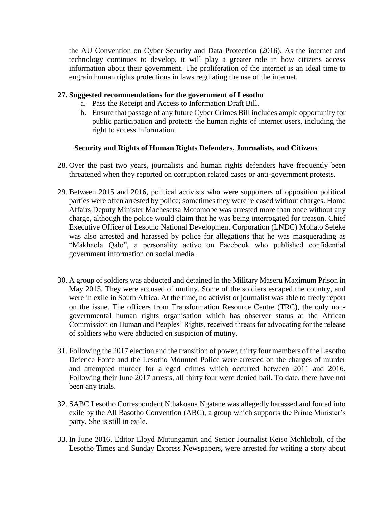the AU Convention on Cyber Security and Data Protection (2016). As the internet and technology continues to develop, it will play a greater role in how citizens access information about their government. The proliferation of the internet is an ideal time to engrain human rights protections in laws regulating the use of the internet.

#### **27. Suggested recommendations for the government of Lesotho**

- a. Pass the Receipt and Access to Information Draft Bill.
- b. Ensure that passage of any future Cyber Crimes Bill includes ample opportunity for public participation and protects the human rights of internet users, including the right to access information.

#### **Security and Rights of Human Rights Defenders, Journalists, and Citizens**

- 28. Over the past two years, journalists and human rights defenders have frequently been threatened when they reported on corruption related cases or anti-government protests.
- 29. Between 2015 and 2016, political activists who were supporters of opposition political parties were often arrested by police; sometimes they were released without charges. Home Affairs Deputy Minister Machesetsa Mofomobe was arrested more than once without any charge, although the police would claim that he was being interrogated for treason. Chief Executive Officer of Lesotho National Development Corporation (LNDC) Mohato Seleke was also arrested and harassed by police for allegations that he was masquerading as "Makhaola Qalo", a personality active on Facebook who published confidential government information on social media.
- 30. A group of soldiers was abducted and detained in the Military Maseru Maximum Prison in May 2015. They were accused of mutiny. Some of the soldiers escaped the country, and were in exile in South Africa. At the time, no activist or journalist was able to freely report on the issue. The officers from Transformation Resource Centre (TRC), the only nongovernmental human rights organisation which has observer status at the African Commission on Human and Peoples' Rights, received threats for advocating for the release of soldiers who were abducted on suspicion of mutiny.
- 31. Following the 2017 election and the transition of power, thirty four members of the Lesotho Defence Force and the Lesotho Mounted Police were arrested on the charges of murder and attempted murder for alleged crimes which occurred between 2011 and 2016. Following their June 2017 arrests, all thirty four were denied bail. To date, there have not been any trials.
- 32. SABC Lesotho Correspondent Nthakoana Ngatane was allegedly harassed and forced into exile by the All Basotho Convention (ABC), a group which supports the Prime Minister's party. She is still in exile.
- 33. In June 2016, Editor Lloyd Mutungamiri and Senior Journalist Keiso Mohloboli, of the Lesotho Times and Sunday Express Newspapers, were arrested for writing a story about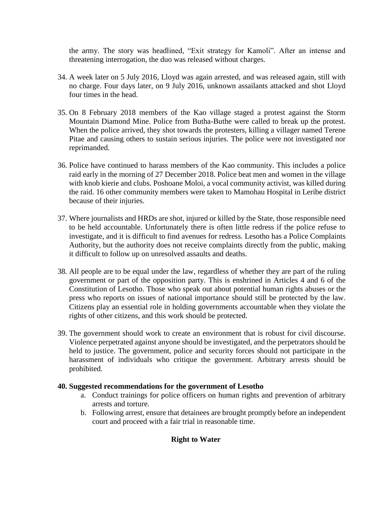the army. The story was headlined, "Exit strategy for Kamoli". After an intense and threatening interrogation, the duo was released without charges.

- 34. A week later on 5 July 2016, Lloyd was again arrested, and was released again, still with no charge. Four days later, on 9 July 2016, unknown assailants attacked and shot Lloyd four times in the head.
- 35. On 8 February 2018 members of the Kao village staged a protest against the Storm Mountain Diamond Mine. Police from Butha-Buthe were called to break up the protest. When the police arrived, they shot towards the protesters, killing a villager named Terene Pitae and causing others to sustain serious injuries. The police were not investigated nor reprimanded.
- 36. Police have continued to harass members of the Kao community. This includes a police raid early in the morning of 27 December 2018. Police beat men and women in the village with knob kierie and clubs. Poshoane Moloi, a vocal community activist, was killed during the raid. 16 other community members were taken to Mamohau Hospital in Leribe district because of their injuries.
- 37. Where journalists and HRDs are shot, injured or killed by the State, those responsible need to be held accountable. Unfortunately there is often little redress if the police refuse to investigate, and it is difficult to find avenues for redress. Lesotho has a Police Complaints Authority, but the authority does not receive complaints directly from the public, making it difficult to follow up on unresolved assaults and deaths.
- 38. All people are to be equal under the law, regardless of whether they are part of the ruling government or part of the opposition party. This is enshrined in Articles 4 and 6 of the Constitution of Lesotho. Those who speak out about potential human rights abuses or the press who reports on issues of national importance should still be protected by the law. Citizens play an essential role in holding governments accountable when they violate the rights of other citizens, and this work should be protected.
- 39. The government should work to create an environment that is robust for civil discourse. Violence perpetrated against anyone should be investigated, and the perpetrators should be held to justice. The government, police and security forces should not participate in the harassment of individuals who critique the government. Arbitrary arrests should be prohibited.

#### **40. Suggested recommendations for the government of Lesotho**

- a. Conduct trainings for police officers on human rights and prevention of arbitrary arrests and torture.
- b. Following arrest, ensure that detainees are brought promptly before an independent court and proceed with a fair trial in reasonable time.

#### **Right to Water**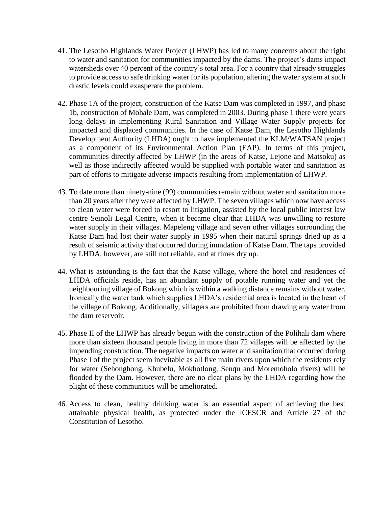- 41. The Lesotho Highlands Water Project (LHWP) has led to many concerns about the right to water and sanitation for communities impacted by the dams. The project's dams impact watersheds over 40 percent of the country's total area. For a country that already struggles to provide access to safe drinking water for its population, altering the water system at such drastic levels could exasperate the problem.
- 42. Phase 1A of the project, construction of the Katse Dam was completed in 1997, and phase 1b, construction of Mohale Dam, was completed in 2003. During phase 1 there were years long delays in implementing Rural Sanitation and Village Water Supply projects for impacted and displaced communities. In the case of Katse Dam, the Lesotho Highlands Development Authority (LHDA) ought to have implemented the KLM/WATSAN project as a component of its Environmental Action Plan (EAP). In terms of this project, communities directly affected by LHWP (in the areas of Katse, Lejone and Matsoku) as well as those indirectly affected would be supplied with portable water and sanitation as part of efforts to mitigate adverse impacts resulting from implementation of LHWP.
- 43. To date more than ninety-nine (99) communities remain without water and sanitation more than 20 years after they were affected by LHWP. The seven villages which now have access to clean water were forced to resort to litigation, assisted by the local public interest law centre Seinoli Legal Centre, when it became clear that LHDA was unwilling to restore water supply in their villages. Mapeleng village and seven other villages surrounding the Katse Dam had lost their water supply in 1995 when their natural springs dried up as a result of seismic activity that occurred during inundation of Katse Dam. The taps provided by LHDA, however, are still not reliable, and at times dry up.
- 44. What is astounding is the fact that the Katse village, where the hotel and residences of LHDA officials reside, has an abundant supply of potable running water and yet the neighbouring village of Bokong which is within a walking distance remains without water. Ironically the water tank which supplies LHDA's residential area is located in the heart of the village of Bokong. Additionally, villagers are prohibited from drawing any water from the dam reservoir.
- 45. Phase II of the LHWP has already begun with the construction of the Polihali dam where more than sixteen thousand people living in more than 72 villages will be affected by the impending construction. The negative impacts on water and sanitation that occurred during Phase I of the project seem inevitable as all five main rivers upon which the residents rely for water (Sehonghong, Khubelu, Mokhotlong, Senqu and Moremoholo rivers) will be flooded by the Dam. However, there are no clear plans by the LHDA regarding how the plight of these communities will be ameliorated.
- 46. Access to clean, healthy drinking water is an essential aspect of achieving the best attainable physical health, as protected under the ICESCR and Article 27 of the Constitution of Lesotho.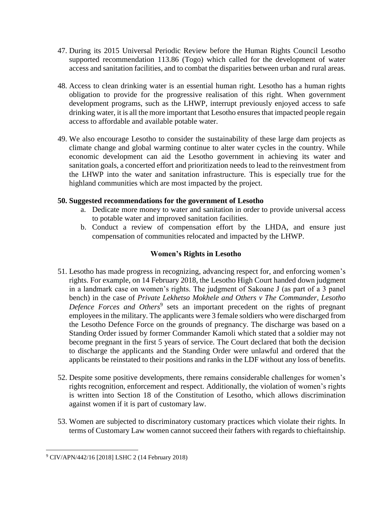- 47. During its 2015 Universal Periodic Review before the Human Rights Council Lesotho supported recommendation 113.86 (Togo) which called for the development of water access and sanitation facilities, and to combat the disparities between urban and rural areas.
- 48. Access to clean drinking water is an essential human right. Lesotho has a human rights obligation to provide for the progressive realisation of this right. When government development programs, such as the LHWP, interrupt previously enjoyed access to safe drinking water, it is all the more important that Lesotho ensures that impacted people regain access to affordable and available potable water.
- 49. We also encourage Lesotho to consider the sustainability of these large dam projects as climate change and global warming continue to alter water cycles in the country. While economic development can aid the Lesotho government in achieving its water and sanitation goals, a concerted effort and prioritization needs to lead to the reinvestment from the LHWP into the water and sanitation infrastructure. This is especially true for the highland communities which are most impacted by the project.

#### **50. Suggested recommendations for the government of Lesotho**

- a. Dedicate more money to water and sanitation in order to provide universal access to potable water and improved sanitation facilities.
- b. Conduct a review of compensation effort by the LHDA, and ensure just compensation of communities relocated and impacted by the LHWP.

#### **Women's Rights in Lesotho**

- 51. Lesotho has made progress in recognizing, advancing respect for, and enforcing women's rights. For example, on 14 February 2018, the Lesotho High Court handed down judgment in a landmark case on women's rights. The judgment of Sakoane J (as part of a 3 panel bench) in the case of *Private Lekhetso Mokhele and Others v The Commander, Lesotho*  Defence Forces and Others<sup>9</sup> sets an important precedent on the rights of pregnant employees in the military. The applicants were 3 female soldiers who were discharged from the Lesotho Defence Force on the grounds of pregnancy. The discharge was based on a Standing Order issued by former Commander Kamoli which stated that a soldier may not become pregnant in the first 5 years of service. The Court declared that both the decision to discharge the applicants and the Standing Order were unlawful and ordered that the applicants be reinstated to their positions and ranks in the LDF without any loss of benefits.
- 52. Despite some positive developments, there remains considerable challenges for women's rights recognition, enforcement and respect. Additionally, the violation of women's rights is written into Section 18 of the Constitution of Lesotho, which allows discrimination against women if it is part of customary law.
- 53. Women are subjected to discriminatory customary practices which violate their rights. In terms of Customary Law women cannot succeed their fathers with regards to chieftainship.

<sup>9</sup> CIV/APN/442/16 [2018] LSHC 2 (14 February 2018)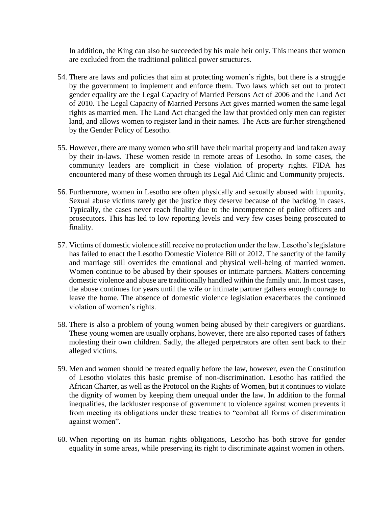In addition, the King can also be succeeded by his male heir only. This means that women are excluded from the traditional political power structures.

- 54. There are laws and policies that aim at protecting women's rights, but there is a struggle by the government to implement and enforce them. Two laws which set out to protect gender equality are the Legal Capacity of Married Persons Act of 2006 and the Land Act of 2010. The Legal Capacity of Married Persons Act gives married women the same legal rights as married men. The Land Act changed the law that provided only men can register land, and allows women to register land in their names. The Acts are further strengthened by the Gender Policy of Lesotho.
- 55. However, there are many women who still have their marital property and land taken away by their in-laws. These women reside in remote areas of Lesotho. In some cases, the community leaders are complicit in these violation of property rights. FIDA has encountered many of these women through its Legal Aid Clinic and Community projects.
- 56. Furthermore, women in Lesotho are often physically and sexually abused with impunity. Sexual abuse victims rarely get the justice they deserve because of the backlog in cases. Typically, the cases never reach finality due to the incompetence of police officers and prosecutors. This has led to low reporting levels and very few cases being prosecuted to finality.
- 57. Victims of domestic violence still receive no protection under the law. Lesotho's legislature has failed to enact the Lesotho Domestic Violence Bill of 2012. The sanctity of the family and marriage still overrides the emotional and physical well-being of married women. Women continue to be abused by their spouses or intimate partners. Matters concerning domestic violence and abuse are traditionally handled within the family unit. In most cases, the abuse continues for years until the wife or intimate partner gathers enough courage to leave the home. The absence of domestic violence legislation exacerbates the continued violation of women's rights.
- 58. There is also a problem of young women being abused by their caregivers or guardians. These young women are usually orphans, however, there are also reported cases of fathers molesting their own children. Sadly, the alleged perpetrators are often sent back to their alleged victims.
- 59. Men and women should be treated equally before the law, however, even the Constitution of Lesotho violates this basic premise of non-discrimination. Lesotho has ratified the African Charter, as well as the Protocol on the Rights of Women, but it continues to violate the dignity of women by keeping them unequal under the law. In addition to the formal inequalities, the lackluster response of government to violence against women prevents it from meeting its obligations under these treaties to "combat all forms of discrimination against women".
- 60. When reporting on its human rights obligations, Lesotho has both strove for gender equality in some areas, while preserving its right to discriminate against women in others.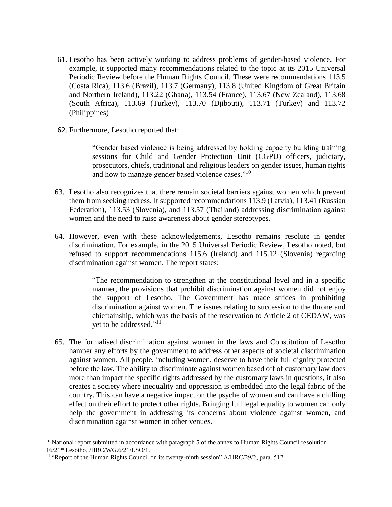- 61. Lesotho has been actively working to address problems of gender-based violence. For example, it supported many recommendations related to the topic at its 2015 Universal Periodic Review before the Human Rights Council. These were recommendations 113.5 (Costa Rica), 113.6 (Brazil), 113.7 (Germany), 113.8 (United Kingdom of Great Britain and Northern Ireland), 113.22 (Ghana), 113.54 (France), 113.67 (New Zealand), 113.68 (South Africa), 113.69 (Turkey), 113.70 (Djibouti), 113.71 (Turkey) and 113.72 (Philippines)
- 62. Furthermore, Lesotho reported that:

"Gender based violence is being addressed by holding capacity building training sessions for Child and Gender Protection Unit (CGPU) officers, judiciary, prosecutors, chiefs, traditional and religious leaders on gender issues, human rights and how to manage gender based violence cases."<sup>10</sup>

- 63. Lesotho also recognizes that there remain societal barriers against women which prevent them from seeking redress. It supported recommendations 113.9 (Latvia), 113.41 (Russian Federation), 113.53 (Slovenia), and 113.57 (Thailand) addressing discrimination against women and the need to raise awareness about gender stereotypes.
- 64. However, even with these acknowledgements, Lesotho remains resolute in gender discrimination. For example, in the 2015 Universal Periodic Review, Lesotho noted, but refused to support recommendations 115.6 (Ireland) and 115.12 (Slovenia) regarding discrimination against women. The report states:

"The recommendation to strengthen at the constitutional level and in a specific manner, the provisions that prohibit discrimination against women did not enjoy the support of Lesotho. The Government has made strides in prohibiting discrimination against women. The issues relating to succession to the throne and chieftainship, which was the basis of the reservation to Article 2 of CEDAW, was yet to be addressed."<sup>11</sup>

65. The formalised discrimination against women in the laws and Constitution of Lesotho hamper any efforts by the government to address other aspects of societal discrimination against women. All people, including women, deserve to have their full dignity protected before the law. The ability to discriminate against women based off of customary law does more than impact the specific rights addressed by the customary laws in questions, it also creates a society where inequality and oppression is embedded into the legal fabric of the country. This can have a negative impact on the psyche of women and can have a chilling effect on their effort to protect other rights. Bringing full legal equality to women can only help the government in addressing its concerns about violence against women, and discrimination against women in other venues.

<sup>&</sup>lt;sup>10</sup> National report submitted in accordance with paragraph 5 of the annex to Human Rights Council resolution 16/21\* Lesotho, /HRC/WG.6/21/LSO/1.

<sup>&</sup>lt;sup>11</sup> "Report of the Human Rights Council on its twenty-ninth session" A/HRC/29/2, para. 512.